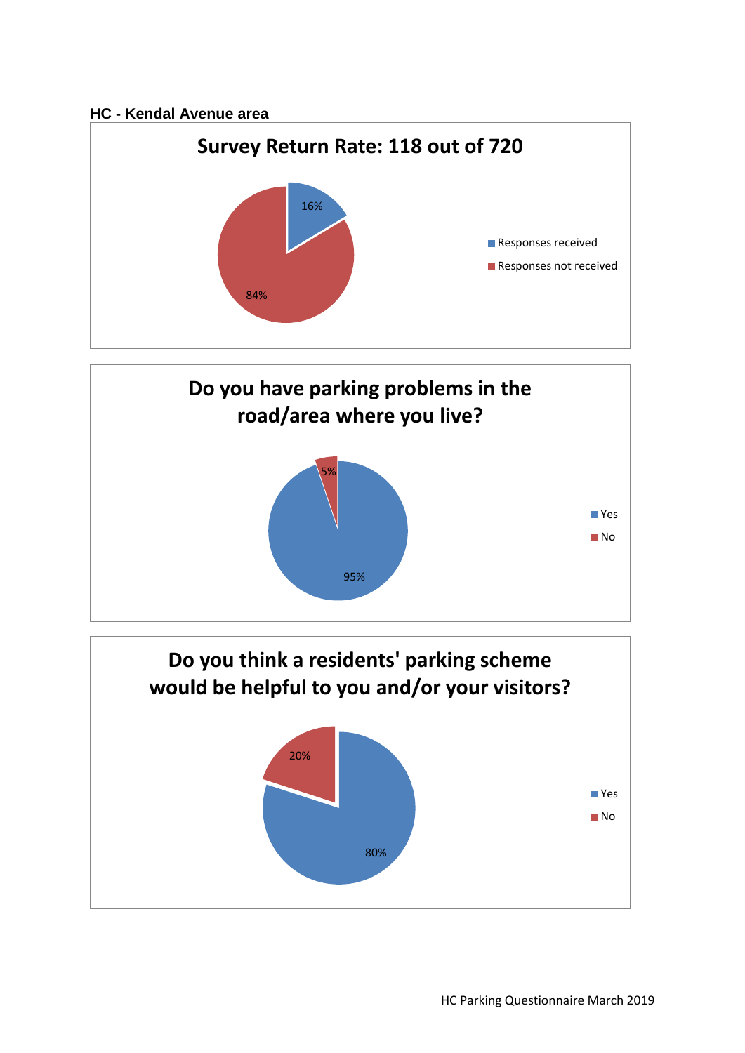## **HC - Kendal Avenue area**





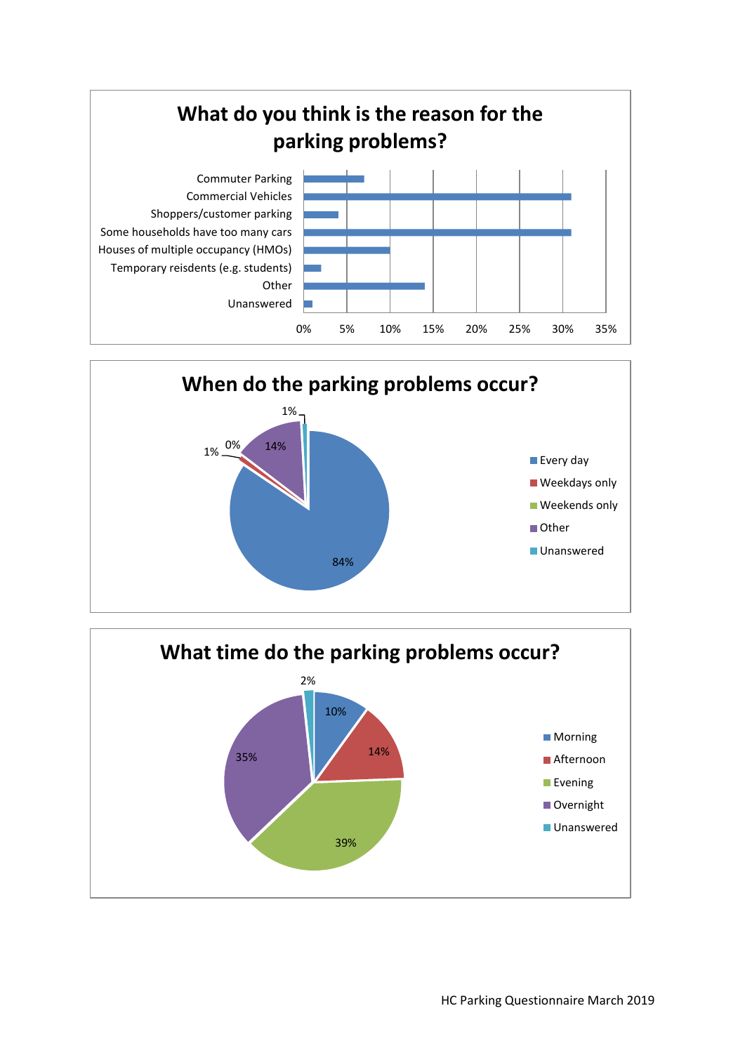



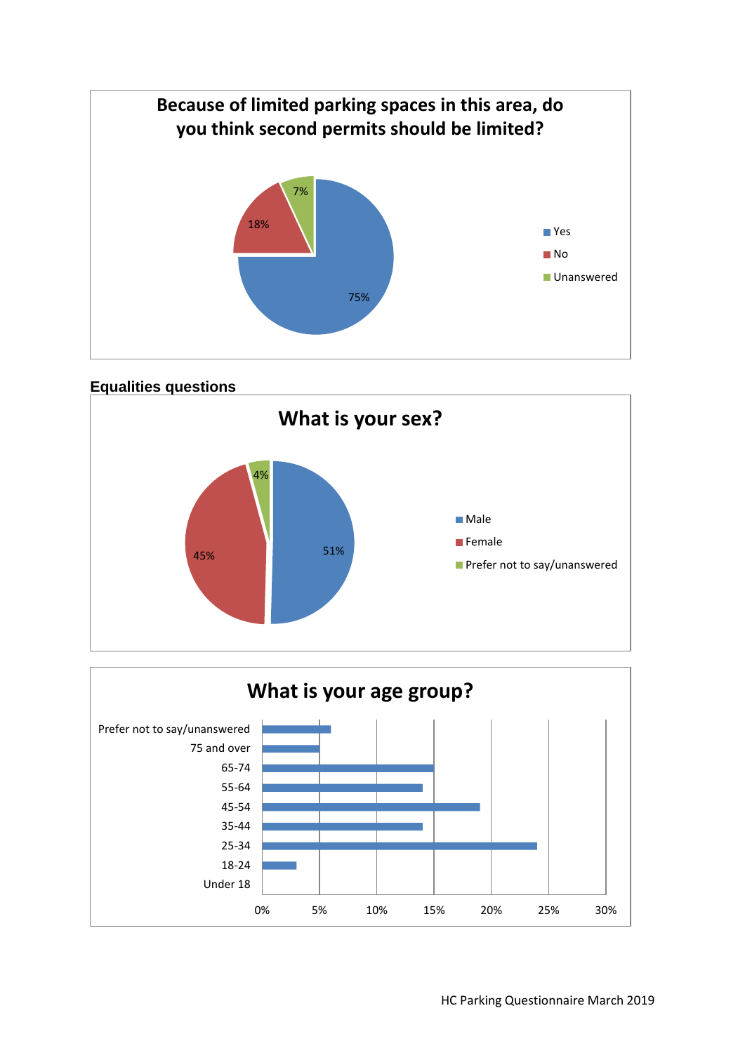



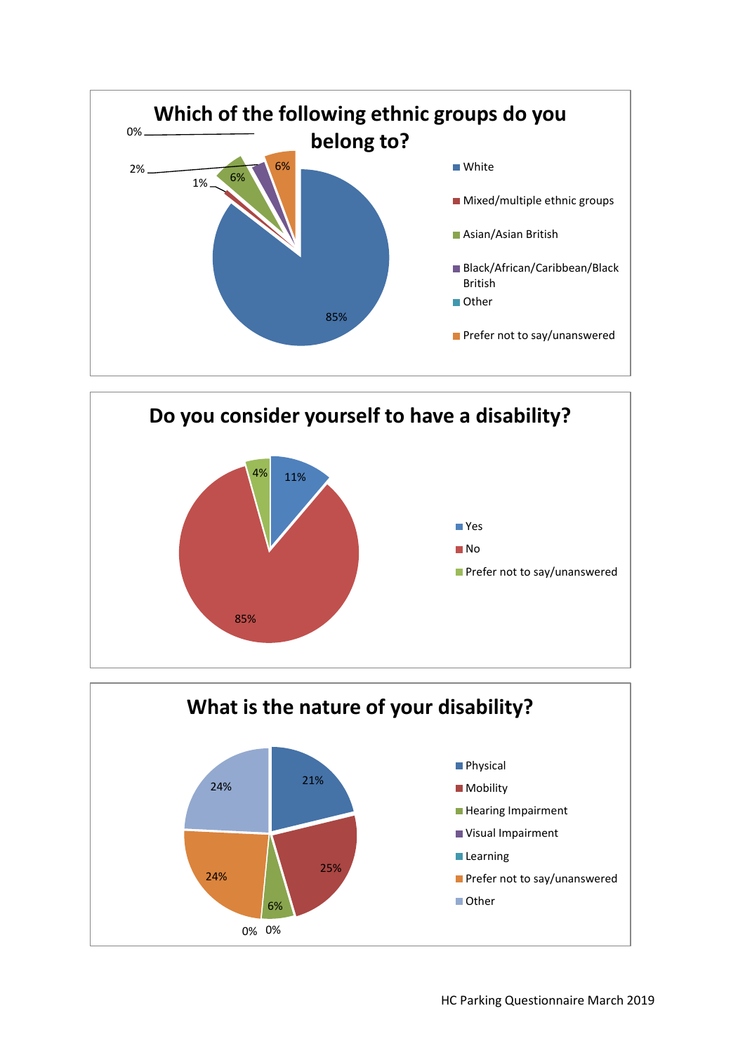